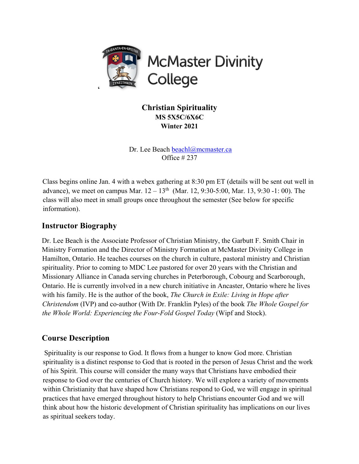

**Christian Spirituality MS 5X5C/6X6C Winter 2021**

Dr. Lee Beach beachl@mcmaster.ca Office # 237

Class begins online Jan. 4 with a webex gathering at 8:30 pm ET (details will be sent out well in advance), we meet on campus Mar.  $12-13^{th}$  (Mar. 12, 9:30-5:00, Mar. 13, 9:30 -1: 00). The class will also meet in small groups once throughout the semester (See below for specific information).

# **Instructor Biography**

Dr. Lee Beach is the Associate Professor of Christian Ministry, the Garbutt F. Smith Chair in Ministry Formation and the Director of Ministry Formation at McMaster Divinity College in Hamilton, Ontario. He teaches courses on the church in culture, pastoral ministry and Christian spirituality. Prior to coming to MDC Lee pastored for over 20 years with the Christian and Missionary Alliance in Canada serving churches in Peterborough, Cobourg and Scarborough, Ontario. He is currently involved in a new church initiative in Ancaster, Ontario where he lives with his family. He is the author of the book, *The Church in Exile: Living in Hope after Christendom* (IVP) and co-author (With Dr. Franklin Pyles) of the book *The Whole Gospel for the Whole World: Experiencing the Four-Fold Gospel Today (Wipf and Stock).* 

# **Course Description**

Spirituality is our response to God. It flows from a hunger to know God more. Christian spirituality is a distinct response to God that is rooted in the person of Jesus Christ and the work of his Spirit. This course will consider the many ways that Christians have embodied their response to God over the centuries of Church history. We will explore a variety of movements within Christianity that have shaped how Christians respond to God, we will engage in spiritual practices that have emerged throughout history to help Christians encounter God and we will think about how the historic development of Christian spirituality has implications on our lives as spiritual seekers today.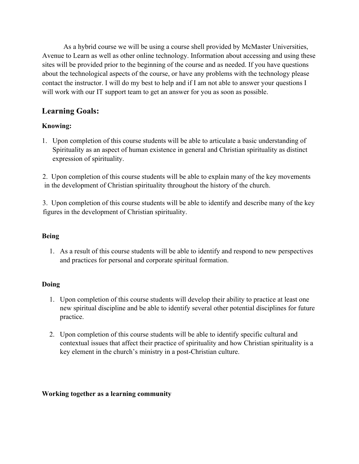As a hybrid course we will be using a course shell provided by McMaster Universities, Avenue to Learn as well as other online technology. Information about accessing and using these sites will be provided prior to the beginning of the course and as needed. If you have questions about the technological aspects of the course, or have any problems with the technology please contact the instructor. I will do my best to help and if I am not able to answer your questions I will work with our IT support team to get an answer for you as soon as possible.

# **Learning Goals:**

## **Knowing:**

1. Upon completion of this course students will be able to articulate a basic understanding of Spirituality as an aspect of human existence in general and Christian spirituality as distinct expression of spirituality.

2. Upon completion of this course students will be able to explain many of the key movements in the development of Christian spirituality throughout the history of the church.

3. Upon completion of this course students will be able to identify and describe many of the key figures in the development of Christian spirituality.

### **Being**

1. As a result of this course students will be able to identify and respond to new perspectives and practices for personal and corporate spiritual formation.

#### **Doing**

- 1. Upon completion of this course students will develop their ability to practice at least one new spiritual discipline and be able to identify several other potential disciplines for future practice.
- 2. Upon completion of this course students will be able to identify specific cultural and contextual issues that affect their practice of spirituality and how Christian spirituality is a key element in the church's ministry in a post-Christian culture.

#### **Working together as a learning community**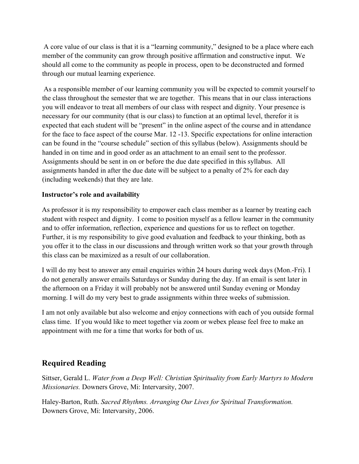A core value of our class is that it is a "learning community," designed to be a place where each member of the community can grow through positive affirmation and constructive input. We should all come to the community as people in process, open to be deconstructed and formed through our mutual learning experience.

As a responsible member of our learning community you will be expected to commit yourself to the class throughout the semester that we are together. This means that in our class interactions you will endeavor to treat all members of our class with respect and dignity. Your presence is necessary for our community (that is our class) to function at an optimal level, therefor it is expected that each student will be "present" in the online aspect of the course and in attendance for the face to face aspect of the course Mar. 12 -13. Specific expectations for online interaction can be found in the "course schedule" section of this syllabus (below). Assignments should be handed in on time and in good order as an attachment to an email sent to the professor. Assignments should be sent in on or before the due date specified in this syllabus. All assignments handed in after the due date will be subject to a penalty of 2% for each day (including weekends) that they are late.

#### **Instructor's role and availability**

As professor it is my responsibility to empower each class member as a learner by treating each student with respect and dignity. I come to position myself as a fellow learner in the community and to offer information, reflection, experience and questions for us to reflect on together. Further, it is my responsibility to give good evaluation and feedback to your thinking, both as you offer it to the class in our discussions and through written work so that your growth through this class can be maximized as a result of our collaboration.

I will do my best to answer any email enquiries within 24 hours during week days (Mon.-Fri). I do not generally answer emails Saturdays or Sunday during the day. If an email is sent later in the afternoon on a Friday it will probably not be answered until Sunday evening or Monday morning. I will do my very best to grade assignments within three weeks of submission.

I am not only available but also welcome and enjoy connections with each of you outside formal class time. If you would like to meet together via zoom or webex please feel free to make an appointment with me for a time that works for both of us.

# **Required Reading**

Sittser, Gerald L. *Water from a Deep Well: Christian Spirituality from Early Martyrs to Modern Missionaries.* Downers Grove, Mi: Intervarsity, 2007.

Haley-Barton, Ruth. *Sacred Rhythms. Arranging Our Lives for Spiritual Transformation.*  Downers Grove, Mi: Intervarsity, 2006.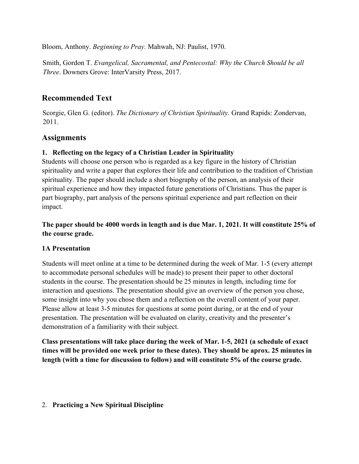Bloom, Anthony. *Beginning to Pray.* Mahwah, NJ: Paulist, 1970.

Smith, Gordon T. *Evangelical, Sacramental, and Pentecostal: Why the Church Should be all Three*. Downers Grove: InterVarsity Press, 2017.

# **Recommended Text**

Scorgie, Glen G. (editor). *The Dictionary of Christian Spirituality.* Grand Rapids: Zondervan, 2011.

# **Assignments**

### **1. Reflecting on the legacy of a Christian Leader in Spirituality**

Students will choose one person who is regarded as a key figure in the history of Christian spirituality and write a paper that explores their life and contribution to the tradition of Christian spirituality. The paper should include a short biography of the person, an analysis of their spiritual experience and how they impacted future generations of Christians. Thus the paper is part biography, part analysis of the persons spiritual experience and part reflection on their impact.

## **The paper should be 4000 words in length and is due Mar. 1, 2021. It will constitute 25% of the course grade.**

## **1A Presentation**

Students will meet online at a time to be determined during the week of Mar. 1-5 (every attempt to accommodate personal schedules will be made) to present their paper to other doctoral students in the course. The presentation should be 25 minutes in length, including time for interaction and questions. The presentation should give an overview of the person you chose, some insight into why you chose them and a reflection on the overall content of your paper. Please allow at least 3-5 minutes for questions at some point during, or at the end of your presentation. The presentation will be evaluated on clarity, creativity and the presenter's demonstration of a familiarity with their subject.

**Class presentations will take place during the week of Mar. 1-5, 2021 (a schedule of exact times will be provided one week prior to these dates). They should be aprox. 25 minutes in length (with a time for discussion to follow) and will constitute 5% of the course grade.** 

#### 2. **Practicing a New Spiritual Discipline**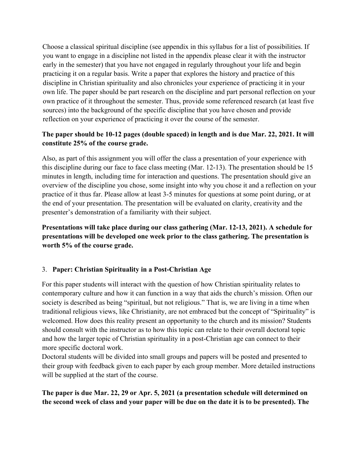Choose a classical spiritual discipline (see appendix in this syllabus for a list of possibilities. If you want to engage in a discipline not listed in the appendix please clear it with the instructor early in the semester) that you have not engaged in regularly throughout your life and begin practicing it on a regular basis. Write a paper that explores the history and practice of this discipline in Christian spirituality and also chronicles your experience of practicing it in your own life. The paper should be part research on the discipline and part personal reflection on your own practice of it throughout the semester. Thus, provide some referenced research (at least five sources) into the background of the specific discipline that you have chosen and provide reflection on your experience of practicing it over the course of the semester.

# **The paper should be 10-12 pages (double spaced) in length and is due Mar. 22, 2021. It will constitute 25% of the course grade.**

Also, as part of this assignment you will offer the class a presentation of your experience with this discipline during our face to face class meeting (Mar. 12-13). The presentation should be 15 minutes in length, including time for interaction and questions. The presentation should give an overview of the discipline you chose, some insight into why you chose it and a reflection on your practice of it thus far. Please allow at least 3-5 minutes for questions at some point during, or at the end of your presentation. The presentation will be evaluated on clarity, creativity and the presenter's demonstration of a familiarity with their subject.

**Presentations will take place during our class gathering (Mar. 12-13, 2021). A schedule for presentations will be developed one week prior to the class gathering. The presentation is worth 5% of the course grade.** 

#### 3. **Paper: Christian Spirituality in a Post-Christian Age**

For this paper students will interact with the question of how Christian spirituality relates to contemporary culture and how it can function in a way that aids the church's mission. Often our society is described as being "spiritual, but not religious." That is, we are living in a time when traditional religious views, like Christianity, are not embraced but the concept of "Spirituality" is welcomed. How does this reality present an opportunity to the church and its mission? Students should consult with the instructor as to how this topic can relate to their overall doctoral topic and how the larger topic of Christian spirituality in a post-Christian age can connect to their more specific doctoral work.

Doctoral students will be divided into small groups and papers will be posted and presented to their group with feedback given to each paper by each group member. More detailed instructions will be supplied at the start of the course.

## **The paper is due Mar. 22, 29 or Apr. 5, 2021 (a presentation schedule will determined on the second week of class and your paper will be due on the date it is to be presented). The**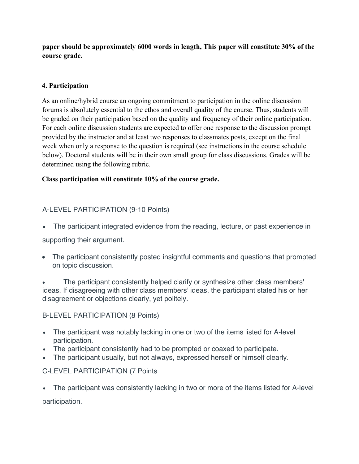**paper should be approximately 6000 words in length, This paper will constitute 30% of the course grade.** 

### **4. Participation**

As an online/hybrid course an ongoing commitment to participation in the online discussion forums is absolutely essential to the ethos and overall quality of the course. Thus, students will be graded on their participation based on the quality and frequency of their online participation. For each online discussion students are expected to offer one response to the discussion prompt provided by the instructor and at least two responses to classmates posts, except on the final week when only a response to the question is required (see instructions in the course schedule below). Doctoral students will be in their own small group for class discussions. Grades will be determined using the following rubric.

### **Class participation will constitute 10% of the course grade.**

# A-LEVEL PARTICIPATION (9-10 Points)

• The participant integrated evidence from the reading, lecture, or past experience in

supporting their argument.

• The participant consistently posted insightful comments and questions that prompted on topic discussion.

• The participant consistently helped clarify or synthesize other class members' ideas. If disagreeing with other class members' ideas, the participant stated his or her disagreement or objections clearly, yet politely.

## B-LEVEL PARTICIPATION (8 Points)

- The participant was notably lacking in one or two of the items listed for A-level participation.
- The participant consistently had to be prompted or coaxed to participate.
- The participant usually, but not always, expressed herself or himself clearly.

## C-LEVEL PARTICIPATION (7 Points

• The participant was consistently lacking in two or more of the items listed for A-level participation.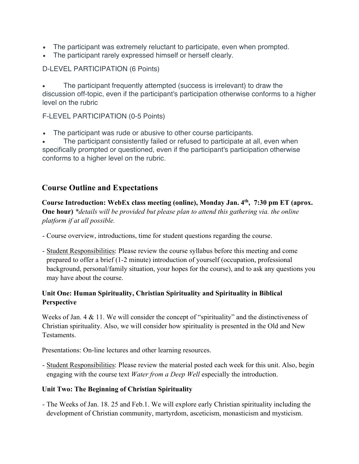- The participant was extremely reluctant to participate, even when prompted.
- The participant rarely expressed himself or herself clearly.

### D-LEVEL PARTICIPATION (6 Points)

• The participant frequently attempted (success is irrelevant) to draw the discussion off-topic, even if the participant's participation otherwise conforms to a higher level on the rubric

### F-LEVEL PARTICIPATION (0-5 Points)

• The participant was rude or abusive to other course participants.

The participant consistently failed or refused to participate at all, even when specifically prompted or questioned, even if the participant's participation otherwise conforms to a higher level on the rubric.

# **Course Outline and Expectations**

**Course Introduction: WebEx class meeting (online), Monday Jan. 4th, 7:30 pm ET (aprox. One hour)** *\*details will be provided but please plan to attend this gathering via. the online platform if at all possible.*

- Course overview, introductions, time for student questions regarding the course.
- Student Responsibilities: Please review the course syllabus before this meeting and come prepared to offer a brief (1-2 minute) introduction of yourself (occupation, professional background, personal/family situation, your hopes for the course), and to ask any questions you may have about the course.

## **Unit One: Human Spirituality, Christian Spirituality and Spirituality in Biblical Perspective**

Weeks of Jan.  $4 \& 11$ . We will consider the concept of "spirituality" and the distinctiveness of Christian spirituality. Also, we will consider how spirituality is presented in the Old and New Testaments.

Presentations: On-line lectures and other learning resources.

- Student Responsibilities: Please review the material posted each week for this unit. Also, begin engaging with the course text *Water from a Deep Well* especially the introduction.

#### **Unit Two: The Beginning of Christian Spirituality**

- The Weeks of Jan. 18. 25 and Feb.1. We will explore early Christian spirituality including the development of Christian community, martyrdom, asceticism, monasticism and mysticism.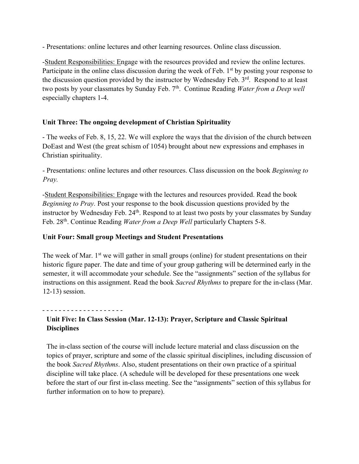- Presentations: online lectures and other learning resources. Online class discussion.

-Student Responsibilities: Engage with the resources provided and review the online lectures. Participate in the online class discussion during the week of Feb.  $1<sup>st</sup>$  by posting your response to the discussion question provided by the instructor by Wednesday Feb. 3<sup>rd</sup>. Respond to at least two posts by your classmates by Sunday Feb. 7<sup>th</sup>. Continue Reading *Water from a Deep well* especially chapters 1-4.

### **Unit Three: The ongoing development of Christian Spirituality**

- The weeks of Feb. 8, 15, 22. We will explore the ways that the division of the church between DoEast and West (the great schism of 1054) brought about new expressions and emphases in Christian spirituality.

- Presentations: online lectures and other resources. Class discussion on the book *Beginning to Pray.* 

-Student Responsibilities: Engage with the lectures and resources provided. Read the book *Beginning to Pray.* Post your response to the book discussion questions provided by the instructor by Wednesday Feb. 24<sup>th</sup>. Respond to at least two posts by your classmates by Sunday Feb. 28th. Continue Reading *Water from a Deep Well* particularly Chapters 5-8.

#### **Unit Four: Small group Meetings and Student Presentations**

The week of Mar.  $1<sup>st</sup>$  we will gather in small groups (online) for student presentations on their historic figure paper. The date and time of your group gathering will be determined early in the semester, it will accommodate your schedule. See the "assignments" section of the syllabus for instructions on this assignment. Read the book *Sacred Rhythms* to prepare for the in-class (Mar. 12-13) session.

- - - - - - - - - - - - - - - - - - - - **Unit Five: In Class Session (Mar. 12-13): Prayer, Scripture and Classic Spiritual Disciplines**

The in-class section of the course will include lecture material and class discussion on the topics of prayer, scripture and some of the classic spiritual disciplines, including discussion of the book *Sacred Rhythms*. Also, student presentations on their own practice of a spiritual discipline will take place. (A schedule will be developed for these presentations one week before the start of our first in-class meeting. See the "assignments" section of this syllabus for further information on to how to prepare).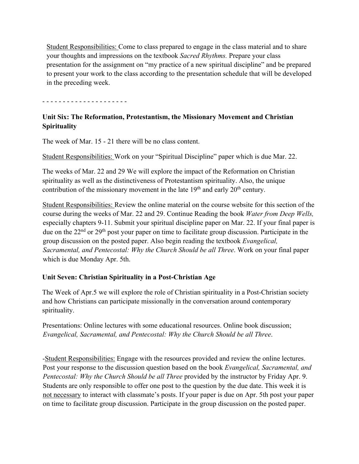Student Responsibilities: Come to class prepared to engage in the class material and to share your thoughts and impressions on the textbook *Sacred Rhythms.* Prepare your class presentation for the assignment on "my practice of a new spiritual discipline" and be prepared to present your work to the class according to the presentation schedule that will be developed in the preceding week.

- - - - - - - - - - - - - - - - - - - - -

# **Unit Six: The Reformation, Protestantism, the Missionary Movement and Christian Spirituality**

The week of Mar. 15 - 21 there will be no class content.

Student Responsibilities: Work on your "Spiritual Discipline" paper which is due Mar. 22.

The weeks of Mar. 22 and 29 We will explore the impact of the Reformation on Christian spirituality as well as the distinctiveness of Protestantism spirituality. Also, the unique contribution of the missionary movement in the late  $19<sup>th</sup>$  and early  $20<sup>th</sup>$  century.

Student Responsibilities: Review the online material on the course website for this section of the course during the weeks of Mar. 22 and 29. Continue Reading the book *Water from Deep Wells,*  especially chapters 9-11. Submit your spiritual discipline paper on Mar. 22. If your final paper is due on the 22<sup>nd</sup> or 29<sup>th</sup> post your paper on time to facilitate group discussion. Participate in the group discussion on the posted paper. Also begin reading the textbook *Evangelical, Sacramental, and Pentecostal: Why the Church Should be all Three*. Work on your final paper which is due Monday Apr. 5th.

## **Unit Seven: Christian Spirituality in a Post-Christian Age**

The Week of Apr.5 we will explore the role of Christian spirituality in a Post-Christian society and how Christians can participate missionally in the conversation around contemporary spirituality.

Presentations: Online lectures with some educational resources. Online book discussion; *Evangelical, Sacramental, and Pentecostal: Why the Church Should be all Three*.

-Student Responsibilities: Engage with the resources provided and review the online lectures. Post your response to the discussion question based on the book *Evangelical, Sacramental, and Pentecostal: Why the Church Should be all Three* provided by the instructor by Friday Apr. 9. Students are only responsible to offer one post to the question by the due date. This week it is not necessary to interact with classmate's posts. If your paper is due on Apr. 5th post your paper on time to facilitate group discussion. Participate in the group discussion on the posted paper.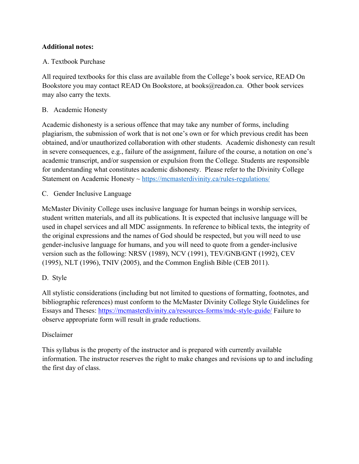### **Additional notes:**

### A. Textbook Purchase

All required textbooks for this class are available from the College's book service, READ On Bookstore you may contact READ On Bookstore, at books@readon.ca. Other book services may also carry the texts.

### B. Academic Honesty

Academic dishonesty is a serious offence that may take any number of forms, including plagiarism, the submission of work that is not one's own or for which previous credit has been obtained, and/or unauthorized collaboration with other students. Academic dishonesty can result in severe consequences, e.g., failure of the assignment, failure of the course, a notation on one's academic transcript, and/or suspension or expulsion from the College. Students are responsible for understanding what constitutes academic dishonesty. Please refer to the Divinity College Statement on Academic Honesty ~ https://mcmasterdivinity.ca/rules-regulations/

C. Gender Inclusive Language

McMaster Divinity College uses inclusive language for human beings in worship services, student written materials, and all its publications. It is expected that inclusive language will be used in chapel services and all MDC assignments. In reference to biblical texts, the integrity of the original expressions and the names of God should be respected, but you will need to use gender-inclusive language for humans, and you will need to quote from a gender-inclusive version such as the following: NRSV (1989), NCV (1991), TEV/GNB/GNT (1992), CEV (1995), NLT (1996), TNIV (2005), and the Common English Bible (CEB 2011).

## D. Style

All stylistic considerations (including but not limited to questions of formatting, footnotes, and bibliographic references) must conform to the McMaster Divinity College Style Guidelines for Essays and Theses: https://mcmasterdivinity.ca/resources-forms/mdc-style-guide/ Failure to observe appropriate form will result in grade reductions.

#### Disclaimer

This syllabus is the property of the instructor and is prepared with currently available information. The instructor reserves the right to make changes and revisions up to and including the first day of class.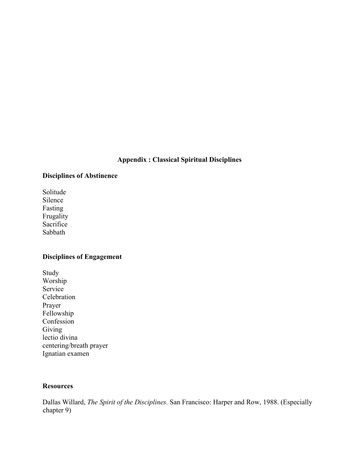#### **Appendix : Classical Spiritual Disciplines**

#### **Disciplines of Abstinence**

Solitude Silence Fasting Frugality Sacrifice Sabbath

#### **Disciplines of Engagement**

Study Worship Service Celebration Prayer Fellowship Confession Giving lectio divina centering/breath prayer Ignatian examen

#### **Resources**

Dallas Willard, *The Spirit of the Disciplines.* San Francisco: Harper and Row, 1988. (Especially chapter 9)